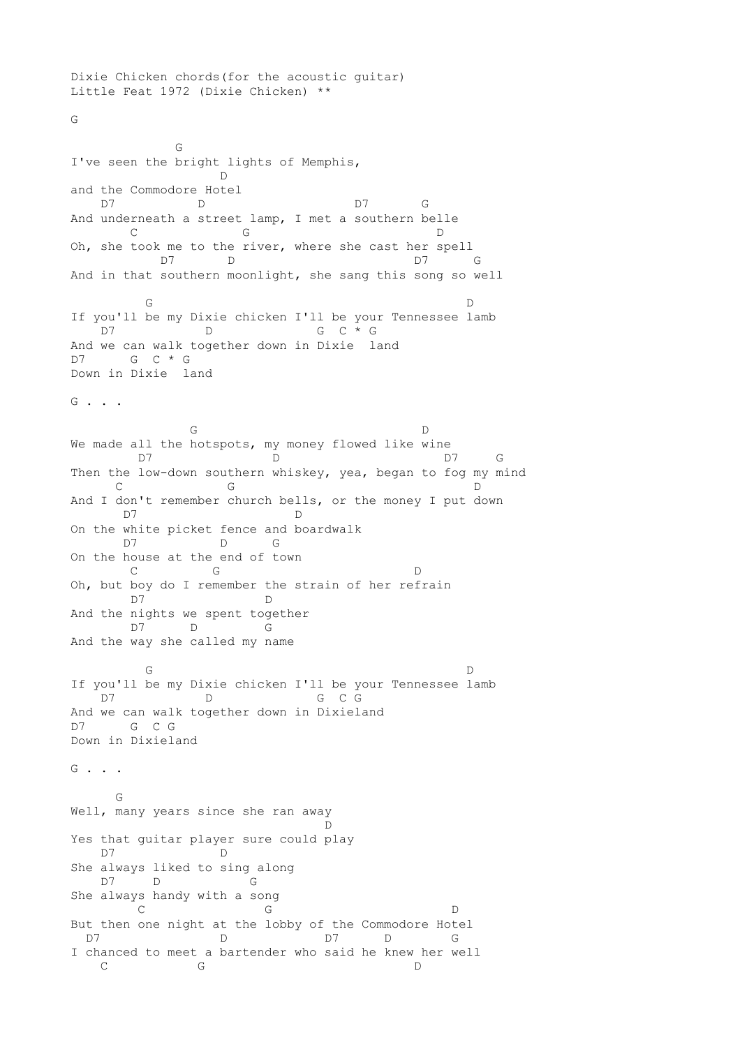Dixie Chicken chords(for the acoustic guitar) Little Feat 1972 (Dixie Chicken) \*\* G General General General General General General General General General General General General General General G I've seen the bright lights of Memphis, D and the Commodore Hotel D7 D D7 G And underneath a street lamp, I met a southern belle C G D Oh, she took me to the river, where she cast her spell D7 D D7 G And in that southern moonlight, she sang this song so well G D If you'll be my Dixie chicken I'll be your Tennessee lamb D7 D G C  $\star$  G And we can walk together down in Dixie land D7 G C \* G Down in Dixie land G . . . G D We made all the hotspots, my money flowed like wine D7 D D7 G Then the low-down southern whiskey, yea, began to fog my mind C G D And I don't remember church bells, or the money I put down D7 D On the white picket fence and boardwalk D7 D G On the house at the end of town C G D Oh, but boy do I remember the strain of her refrain D7 D And the nights we spent together D7 D G And the way she called my name G D If you'll be my Dixie chicken I'll be your Tennessee lamb D7 D G C G And we can walk together down in Dixieland D7 G C G Down in Dixieland  $G \quad . \quad . \quad .$  G Well, many years since she ran away **D** Yes that guitar player sure could play<br>D7 D D7 She always liked to sing along D7 D G She always handy with a song C G D D But then one night at the lobby of the Commodore Hotel D7 D D7 D G I chanced to meet a bartender who said he knew her well C G D